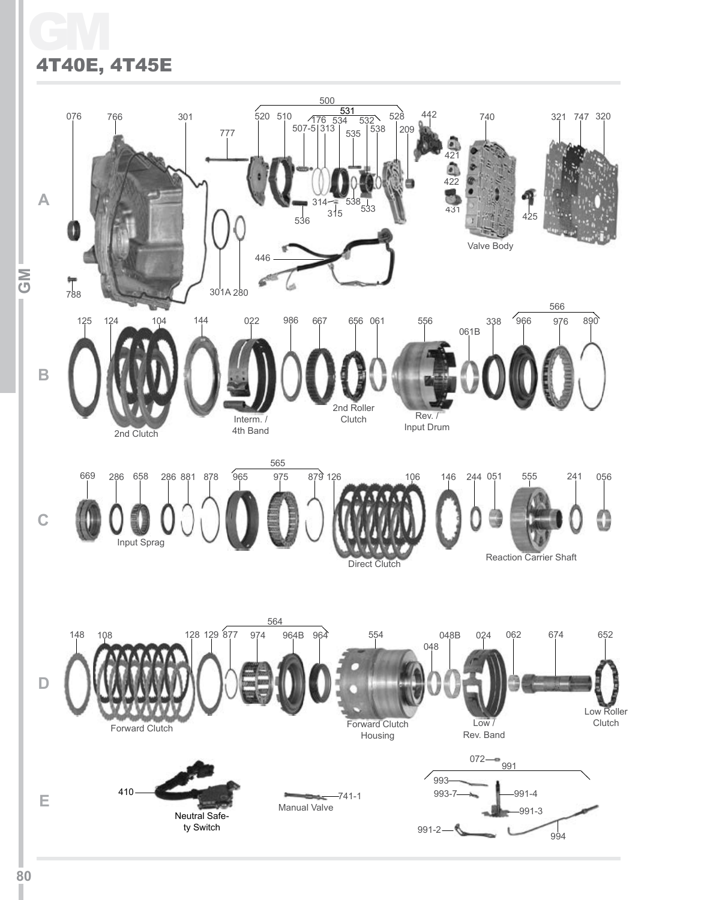## GM 4T40E, 4T45E

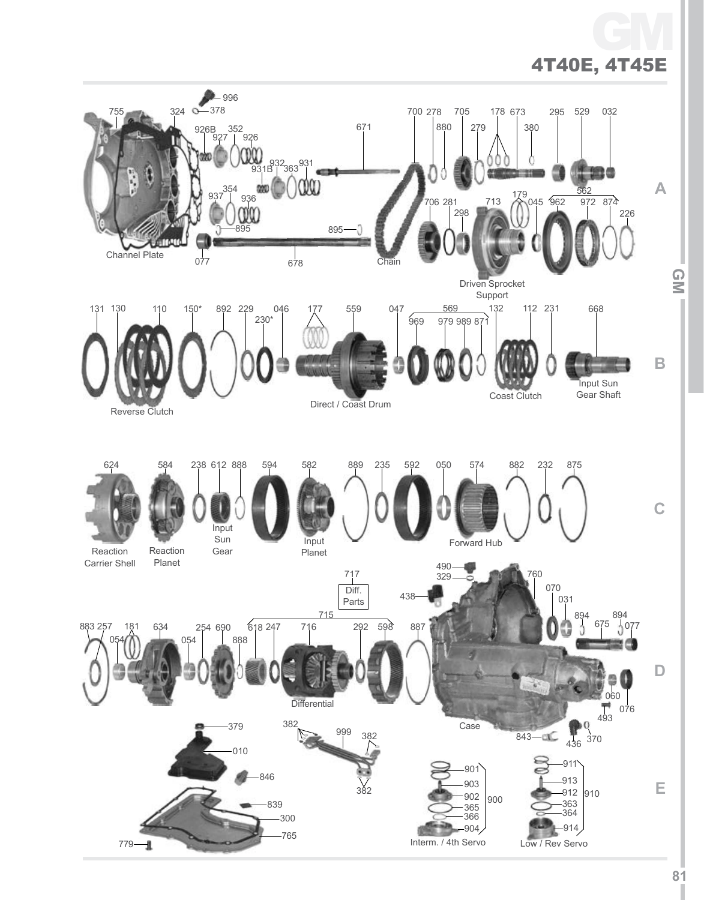

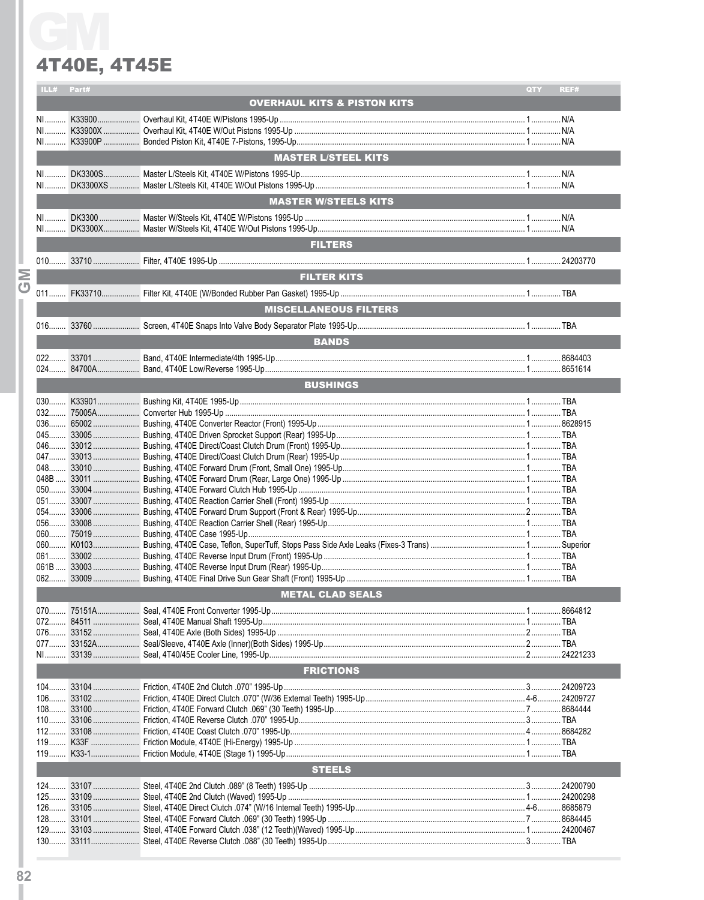#### 4T40E, 4T45E

|          | ILL#                       | Part# |                                        | <b>QTY</b> | REF# |  |  |
|----------|----------------------------|-------|----------------------------------------|------------|------|--|--|
|          |                            |       | <b>OVERHAUL KITS &amp; PISTON KITS</b> |            |      |  |  |
|          |                            |       |                                        |            |      |  |  |
|          |                            |       |                                        |            |      |  |  |
|          |                            |       |                                        |            |      |  |  |
|          |                            |       |                                        |            |      |  |  |
|          | <b>MASTER L/STEEL KITS</b> |       |                                        |            |      |  |  |
|          |                            |       |                                        |            |      |  |  |
|          |                            |       |                                        |            |      |  |  |
|          |                            |       |                                        |            |      |  |  |
|          |                            |       | <b>MASTER W/STEELS KITS</b>            |            |      |  |  |
|          |                            |       |                                        |            |      |  |  |
|          |                            |       |                                        |            |      |  |  |
|          |                            |       | <b>FILTERS</b>                         |            |      |  |  |
|          |                            |       |                                        |            |      |  |  |
|          |                            |       |                                        |            |      |  |  |
| Σ        |                            |       | <b>FILTER KITS</b>                     |            |      |  |  |
| $\sigma$ |                            |       |                                        |            |      |  |  |
|          |                            |       |                                        |            |      |  |  |
|          |                            |       | <b>MISCELLANEOUS FILTERS</b>           |            |      |  |  |
|          |                            |       |                                        |            |      |  |  |
|          |                            |       |                                        |            |      |  |  |
|          |                            |       | <b>BANDS</b>                           |            |      |  |  |
|          |                            |       |                                        |            |      |  |  |
|          |                            |       |                                        |            |      |  |  |
|          |                            |       | <b>BUSHINGS</b>                        |            |      |  |  |
|          |                            |       |                                        |            |      |  |  |
|          |                            |       |                                        |            |      |  |  |
|          |                            |       |                                        |            |      |  |  |
|          |                            |       |                                        |            |      |  |  |
|          |                            |       |                                        |            |      |  |  |
|          |                            |       |                                        |            |      |  |  |
|          |                            |       |                                        |            |      |  |  |
|          |                            |       |                                        |            |      |  |  |
|          |                            |       |                                        |            |      |  |  |
|          |                            |       |                                        |            |      |  |  |
|          |                            |       |                                        |            |      |  |  |
|          |                            |       |                                        |            |      |  |  |
|          |                            |       |                                        |            |      |  |  |
|          |                            |       |                                        |            |      |  |  |
|          |                            |       |                                        |            |      |  |  |
|          |                            |       |                                        |            |      |  |  |
|          |                            |       |                                        |            |      |  |  |
|          |                            |       | <b>METAL CLAD SEALS</b>                |            |      |  |  |
|          |                            |       |                                        |            |      |  |  |
|          |                            |       |                                        |            |      |  |  |
|          |                            |       |                                        |            |      |  |  |
|          |                            |       |                                        |            |      |  |  |
|          |                            |       |                                        |            |      |  |  |
|          |                            |       | <b>FRICTIONS</b>                       |            |      |  |  |
|          |                            |       |                                        |            |      |  |  |
|          |                            |       |                                        |            |      |  |  |
|          |                            |       |                                        |            |      |  |  |
|          |                            |       |                                        |            |      |  |  |
|          |                            |       |                                        |            |      |  |  |
|          |                            |       |                                        |            |      |  |  |
|          |                            |       |                                        |            |      |  |  |
|          |                            |       |                                        |            |      |  |  |
|          |                            |       | <b>STEELS</b>                          |            |      |  |  |
|          |                            |       |                                        |            |      |  |  |
|          | $125$                      |       |                                        |            |      |  |  |
|          | $126$                      |       |                                        |            |      |  |  |
|          |                            |       |                                        |            |      |  |  |
|          |                            |       |                                        |            |      |  |  |
|          |                            |       |                                        |            |      |  |  |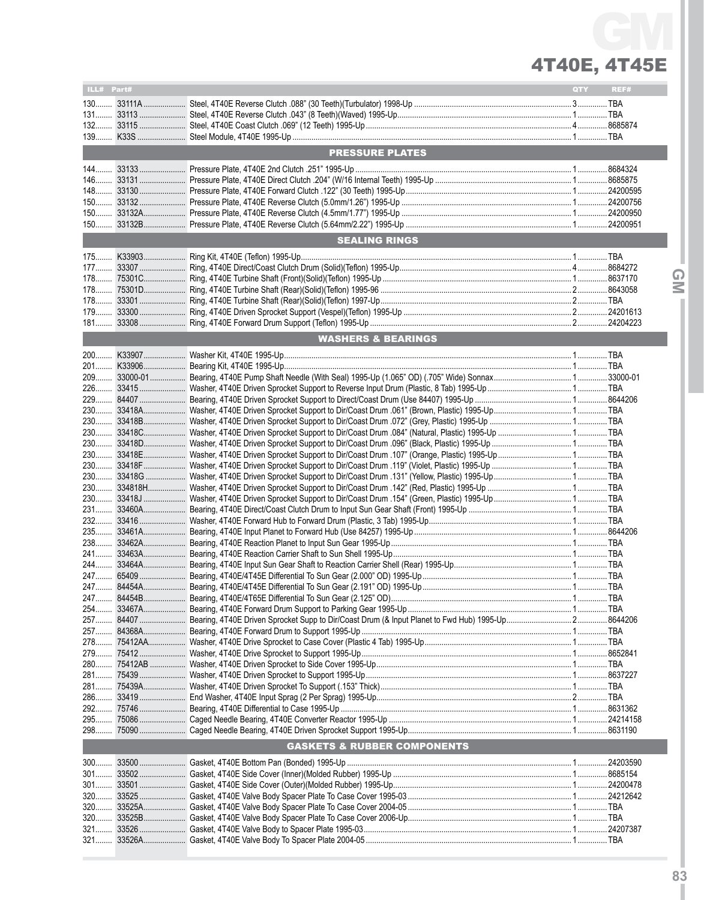# 4T40E, 4T45E GM

| ILL# Part# |                                                                                                                                                        | QTY | REF# |
|------------|--------------------------------------------------------------------------------------------------------------------------------------------------------|-----|------|
|            |                                                                                                                                                        |     |      |
|            |                                                                                                                                                        |     |      |
|            |                                                                                                                                                        |     |      |
|            |                                                                                                                                                        |     |      |
|            |                                                                                                                                                        |     |      |
|            | <b>PRESSURE PLATES</b>                                                                                                                                 |     |      |
|            |                                                                                                                                                        |     |      |
|            |                                                                                                                                                        |     |      |
|            |                                                                                                                                                        |     |      |
|            |                                                                                                                                                        |     |      |
|            |                                                                                                                                                        |     |      |
|            |                                                                                                                                                        |     |      |
|            |                                                                                                                                                        |     |      |
|            |                                                                                                                                                        |     |      |
|            | <b>SEALING RINGS</b>                                                                                                                                   |     |      |
|            |                                                                                                                                                        |     |      |
|            |                                                                                                                                                        |     |      |
|            |                                                                                                                                                        |     |      |
|            |                                                                                                                                                        |     |      |
|            |                                                                                                                                                        |     |      |
|            |                                                                                                                                                        |     |      |
|            |                                                                                                                                                        |     |      |
|            |                                                                                                                                                        |     |      |
|            | <b>WASHERS &amp; BEARINGS</b><br><b>Contract Contract Contract Contract Contract Contract Contract Contract Contract Contract Contract Contract Co</b> |     |      |
|            |                                                                                                                                                        |     |      |
|            |                                                                                                                                                        |     |      |
|            |                                                                                                                                                        |     |      |
|            |                                                                                                                                                        |     |      |
|            |                                                                                                                                                        |     |      |
|            |                                                                                                                                                        |     |      |
|            |                                                                                                                                                        |     |      |
|            |                                                                                                                                                        |     |      |
|            |                                                                                                                                                        |     |      |
|            |                                                                                                                                                        |     |      |
|            |                                                                                                                                                        |     |      |
|            |                                                                                                                                                        |     |      |
|            |                                                                                                                                                        |     |      |
|            |                                                                                                                                                        |     |      |
|            |                                                                                                                                                        |     |      |
|            |                                                                                                                                                        |     |      |
| 231        |                                                                                                                                                        |     |      |
|            |                                                                                                                                                        |     |      |
|            |                                                                                                                                                        |     |      |
|            |                                                                                                                                                        |     |      |
|            |                                                                                                                                                        |     |      |
|            |                                                                                                                                                        |     |      |
|            |                                                                                                                                                        |     |      |
|            |                                                                                                                                                        |     |      |
|            |                                                                                                                                                        |     |      |
|            |                                                                                                                                                        |     |      |
|            |                                                                                                                                                        |     |      |
|            |                                                                                                                                                        |     |      |
|            |                                                                                                                                                        |     |      |
|            |                                                                                                                                                        |     |      |
|            |                                                                                                                                                        |     |      |
|            |                                                                                                                                                        |     |      |
|            |                                                                                                                                                        |     |      |
|            |                                                                                                                                                        |     |      |
|            |                                                                                                                                                        |     |      |
|            |                                                                                                                                                        |     |      |
|            |                                                                                                                                                        |     |      |
|            |                                                                                                                                                        |     |      |
|            | <b>GASKETS &amp; RUBBER COMPONENTS</b>                                                                                                                 |     |      |
|            |                                                                                                                                                        |     |      |
|            |                                                                                                                                                        |     |      |
|            |                                                                                                                                                        |     |      |
| $301$      |                                                                                                                                                        |     |      |
|            |                                                                                                                                                        |     |      |
|            |                                                                                                                                                        |     |      |
|            |                                                                                                                                                        |     |      |
|            |                                                                                                                                                        |     |      |
| $321$      |                                                                                                                                                        |     |      |
|            |                                                                                                                                                        |     |      |

L

**83**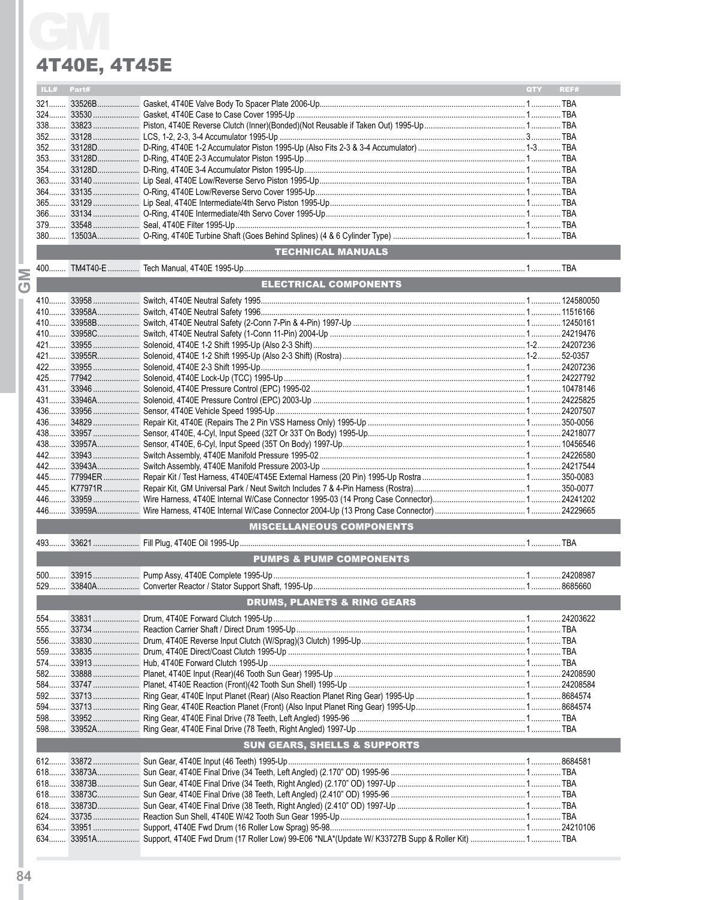### 4T40E, 4T45E

|           | ILL#                                   | Part# |                                         | <b>QTY</b> | REF# |  |
|-----------|----------------------------------------|-------|-----------------------------------------|------------|------|--|
|           |                                        |       |                                         |            |      |  |
|           |                                        |       |                                         |            |      |  |
|           |                                        |       |                                         |            |      |  |
|           |                                        |       |                                         |            |      |  |
|           |                                        |       |                                         |            |      |  |
|           |                                        |       |                                         |            |      |  |
|           |                                        |       |                                         |            |      |  |
|           |                                        |       |                                         |            |      |  |
|           |                                        |       |                                         |            |      |  |
|           |                                        |       |                                         |            |      |  |
|           |                                        |       |                                         |            |      |  |
|           |                                        |       |                                         |            |      |  |
|           |                                        |       |                                         |            |      |  |
|           |                                        |       | <b>TECHNICAL MANUALS</b>                |            |      |  |
| <b>MO</b> |                                        |       |                                         |            |      |  |
|           |                                        |       | ELECTRICAL COMPONENTS                   |            |      |  |
|           |                                        |       |                                         |            |      |  |
|           |                                        |       |                                         |            |      |  |
|           |                                        |       |                                         |            |      |  |
|           |                                        |       |                                         |            |      |  |
|           |                                        |       |                                         |            |      |  |
|           |                                        |       |                                         |            |      |  |
|           |                                        |       |                                         |            |      |  |
|           |                                        |       |                                         |            |      |  |
|           |                                        |       |                                         |            |      |  |
|           |                                        |       |                                         |            |      |  |
|           |                                        |       |                                         |            |      |  |
|           |                                        |       |                                         |            |      |  |
|           |                                        |       |                                         |            |      |  |
|           |                                        |       |                                         |            |      |  |
|           |                                        |       |                                         |            |      |  |
|           |                                        |       |                                         |            |      |  |
|           |                                        |       |                                         |            |      |  |
|           |                                        |       |                                         |            |      |  |
|           |                                        |       |                                         |            |      |  |
|           |                                        |       | <b>MISCELLANEOUS COMPONENTS</b>         |            |      |  |
|           |                                        |       |                                         |            |      |  |
|           |                                        |       | <b>PUMPS &amp; PUMP COMPONENTS</b>      |            |      |  |
|           |                                        |       |                                         |            |      |  |
|           |                                        |       |                                         |            |      |  |
|           | <b>DRUMS, PLANETS &amp; RING GEARS</b> |       |                                         |            |      |  |
|           |                                        |       |                                         |            |      |  |
|           |                                        |       |                                         |            |      |  |
|           |                                        |       |                                         |            |      |  |
|           |                                        |       |                                         |            |      |  |
|           |                                        |       |                                         |            |      |  |
|           |                                        |       |                                         |            |      |  |
|           |                                        |       |                                         |            |      |  |
|           |                                        |       |                                         |            |      |  |
|           |                                        |       |                                         |            |      |  |
|           |                                        |       |                                         |            |      |  |
|           |                                        |       |                                         |            |      |  |
|           |                                        |       | <b>SUN GEARS, SHELLS &amp; SUPPORTS</b> |            |      |  |
|           |                                        |       |                                         |            |      |  |
|           |                                        |       |                                         |            |      |  |
|           |                                        |       |                                         |            |      |  |
|           |                                        |       |                                         |            |      |  |
|           |                                        |       |                                         |            |      |  |
|           |                                        |       |                                         |            |      |  |
|           |                                        |       |                                         |            |      |  |
|           |                                        |       |                                         |            |      |  |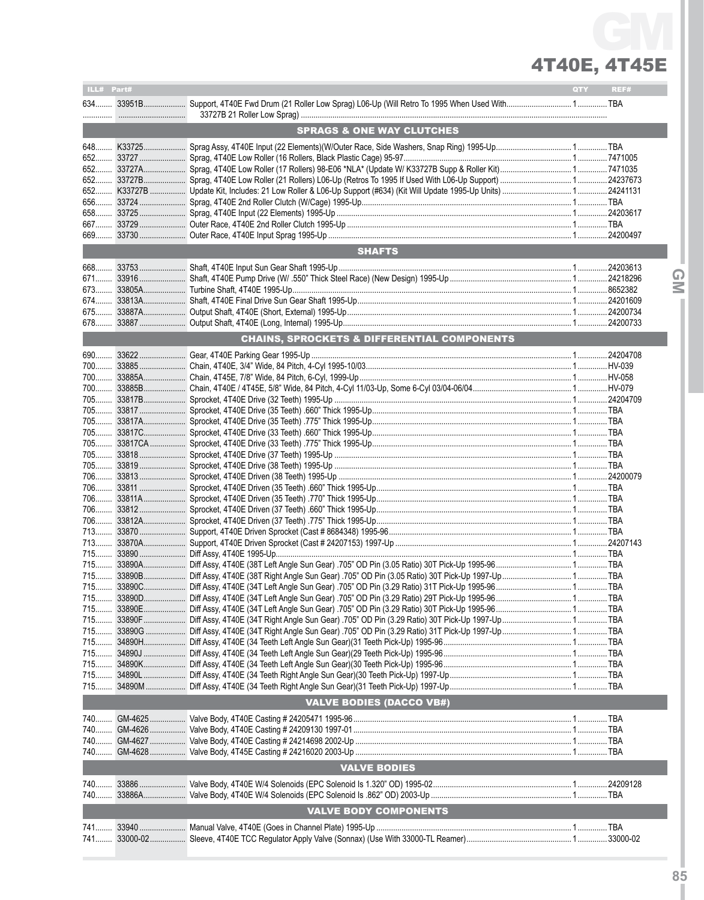# 4T40E, 4T45E GM

| ILL# Part# |                                                        | QTY | REF# |
|------------|--------------------------------------------------------|-----|------|
|            |                                                        |     |      |
|            |                                                        |     |      |
|            | <b>SPRAGS &amp; ONE WAY CLUTCHES</b>                   |     |      |
|            |                                                        |     |      |
|            |                                                        |     |      |
|            |                                                        |     |      |
|            |                                                        |     |      |
|            |                                                        |     |      |
|            |                                                        |     |      |
|            |                                                        |     |      |
|            |                                                        |     |      |
| 669        |                                                        |     |      |
|            | <b>SHAFTS</b>                                          |     |      |
|            |                                                        |     |      |
|            |                                                        |     |      |
|            |                                                        |     |      |
|            |                                                        |     |      |
|            |                                                        |     |      |
|            |                                                        |     |      |
|            | <b>CHAINS, SPROCKETS &amp; DIFFERENTIAL COMPONENTS</b> |     |      |
|            |                                                        |     |      |
|            |                                                        |     |      |
|            |                                                        |     |      |
|            |                                                        |     |      |
|            |                                                        |     |      |
|            |                                                        |     |      |
|            |                                                        |     |      |
|            |                                                        |     |      |
|            |                                                        |     |      |
|            |                                                        |     |      |
|            |                                                        |     |      |
|            |                                                        |     |      |
|            |                                                        |     |      |
|            |                                                        |     |      |
|            |                                                        |     |      |
|            |                                                        |     |      |
|            |                                                        |     |      |
|            |                                                        |     |      |
|            |                                                        |     |      |
|            |                                                        |     |      |
|            |                                                        |     |      |
|            |                                                        |     |      |
|            |                                                        |     |      |
|            |                                                        |     |      |
|            |                                                        |     |      |
| 715        |                                                        |     |      |
|            |                                                        |     |      |
|            |                                                        |     |      |
|            |                                                        |     |      |
|            | <b>VALVE BODIES (DACCO VB#)</b>                        |     |      |
|            |                                                        |     |      |
|            |                                                        |     |      |
|            |                                                        |     |      |
|            |                                                        |     |      |
|            | <b>VALVE BODIES</b>                                    |     |      |
|            |                                                        |     |      |
| 740        |                                                        |     |      |
|            |                                                        |     |      |
|            | <b>VALVE BODY COMPONENTS</b>                           |     |      |
|            |                                                        |     |      |
|            |                                                        |     |      |
|            |                                                        |     |      |

**IGMI**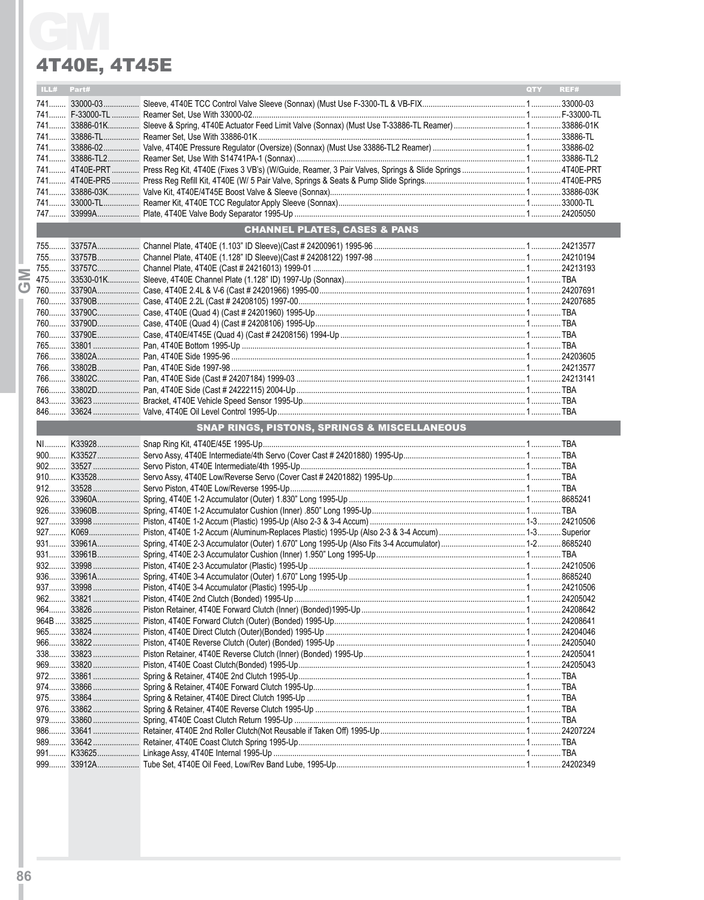### 4T40E, 4T45E

|  | ILL# Part#                              |  |                                              | QTY REF# |  |  |  |
|--|-----------------------------------------|--|----------------------------------------------|----------|--|--|--|
|  |                                         |  |                                              |          |  |  |  |
|  |                                         |  |                                              |          |  |  |  |
|  |                                         |  |                                              |          |  |  |  |
|  |                                         |  |                                              |          |  |  |  |
|  |                                         |  |                                              |          |  |  |  |
|  |                                         |  |                                              |          |  |  |  |
|  |                                         |  |                                              |          |  |  |  |
|  |                                         |  |                                              |          |  |  |  |
|  |                                         |  |                                              |          |  |  |  |
|  |                                         |  |                                              |          |  |  |  |
|  |                                         |  |                                              |          |  |  |  |
|  | <b>CHANNEL PLATES, CASES &amp; PANS</b> |  |                                              |          |  |  |  |
|  |                                         |  |                                              |          |  |  |  |
|  |                                         |  |                                              |          |  |  |  |
|  |                                         |  |                                              |          |  |  |  |
|  |                                         |  |                                              |          |  |  |  |
|  |                                         |  |                                              |          |  |  |  |
|  |                                         |  |                                              |          |  |  |  |
|  |                                         |  |                                              |          |  |  |  |
|  |                                         |  |                                              |          |  |  |  |
|  |                                         |  |                                              |          |  |  |  |
|  |                                         |  |                                              |          |  |  |  |
|  |                                         |  |                                              |          |  |  |  |
|  |                                         |  |                                              |          |  |  |  |
|  |                                         |  |                                              |          |  |  |  |
|  |                                         |  |                                              |          |  |  |  |
|  |                                         |  |                                              |          |  |  |  |
|  |                                         |  | SNAP RINGS, PISTONS, SPRINGS & MISCELLANEOUS |          |  |  |  |
|  |                                         |  |                                              |          |  |  |  |
|  |                                         |  |                                              |          |  |  |  |
|  |                                         |  |                                              |          |  |  |  |
|  |                                         |  |                                              |          |  |  |  |
|  |                                         |  |                                              |          |  |  |  |
|  |                                         |  |                                              |          |  |  |  |
|  |                                         |  |                                              |          |  |  |  |
|  |                                         |  |                                              |          |  |  |  |
|  |                                         |  |                                              |          |  |  |  |
|  |                                         |  |                                              |          |  |  |  |
|  |                                         |  |                                              |          |  |  |  |
|  |                                         |  |                                              |          |  |  |  |
|  |                                         |  |                                              |          |  |  |  |
|  |                                         |  |                                              |          |  |  |  |
|  |                                         |  |                                              |          |  |  |  |
|  | 964B                                    |  |                                              |          |  |  |  |
|  |                                         |  |                                              |          |  |  |  |
|  | $966$                                   |  |                                              |          |  |  |  |
|  | 338                                     |  |                                              |          |  |  |  |
|  |                                         |  |                                              |          |  |  |  |
|  | 972                                     |  |                                              |          |  |  |  |
|  | 974                                     |  |                                              |          |  |  |  |
|  |                                         |  |                                              |          |  |  |  |
|  |                                         |  |                                              |          |  |  |  |
|  |                                         |  |                                              |          |  |  |  |
|  | 986                                     |  |                                              |          |  |  |  |
|  | $989$                                   |  |                                              |          |  |  |  |
|  | 991                                     |  |                                              |          |  |  |  |
|  |                                         |  |                                              |          |  |  |  |